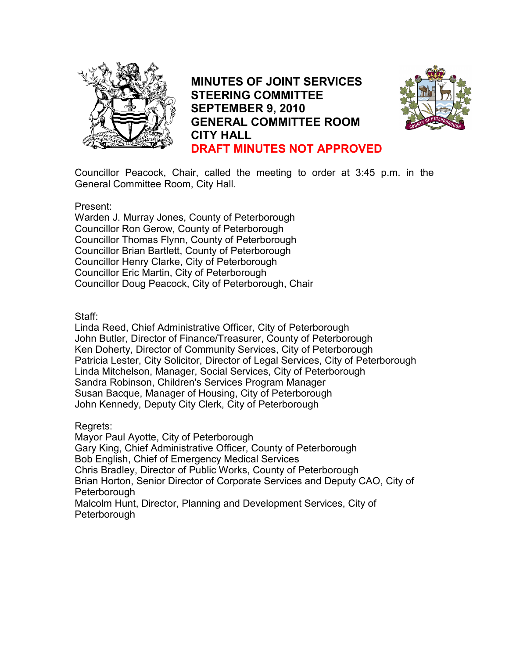

MINUTES OF JOINT SERVICES STEERING COMMITTEE SEPTEMBER 9, 2010 GENERAL COMMITTEE ROOM CITY HALL DRAFT MINUTES NOT APPROVED



Councillor Peacock, Chair, called the meeting to order at 3:45 p.m. in the General Committee Room, City Hall.

Present:

Warden J. Murray Jones, County of Peterborough Councillor Ron Gerow, County of Peterborough Councillor Thomas Flynn, County of Peterborough Councillor Brian Bartlett, County of Peterborough Councillor Henry Clarke, City of Peterborough Councillor Eric Martin, City of Peterborough Councillor Doug Peacock, City of Peterborough, Chair

Staff:

Linda Reed, Chief Administrative Officer, City of Peterborough John Butler, Director of Finance/Treasurer, County of Peterborough Ken Doherty, Director of Community Services, City of Peterborough Patricia Lester, City Solicitor, Director of Legal Services, City of Peterborough Linda Mitchelson, Manager, Social Services, City of Peterborough Sandra Robinson, Children's Services Program Manager Susan Bacque, Manager of Housing, City of Peterborough John Kennedy, Deputy City Clerk, City of Peterborough

Regrets:

Mayor Paul Ayotte, City of Peterborough Gary King, Chief Administrative Officer, County of Peterborough Bob English, Chief of Emergency Medical Services Chris Bradley, Director of Public Works, County of Peterborough Brian Horton, Senior Director of Corporate Services and Deputy CAO, City of Peterborough Malcolm Hunt, Director, Planning and Development Services, City of **Peterborough**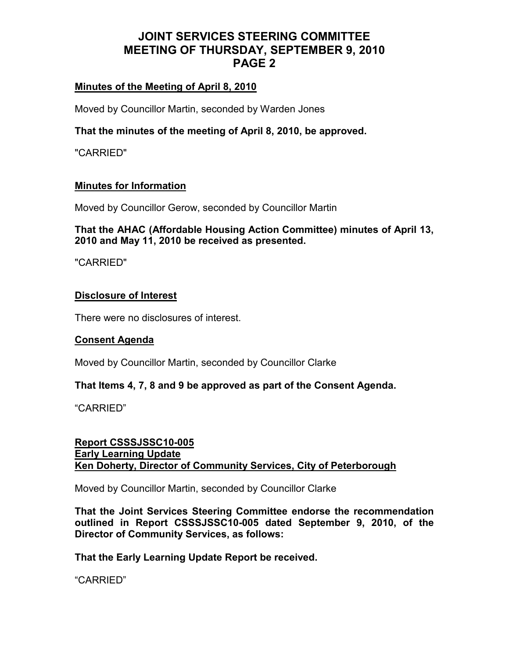## Minutes of the Meeting of April 8, 2010

Moved by Councillor Martin, seconded by Warden Jones

### That the minutes of the meeting of April 8, 2010, be approved.

"CARRIED"

### Minutes for Information

Moved by Councillor Gerow, seconded by Councillor Martin

### That the AHAC (Affordable Housing Action Committee) minutes of April 13, 2010 and May 11, 2010 be received as presented.

"CARRIED"

#### Disclosure of Interest

There were no disclosures of interest.

### Consent Agenda

Moved by Councillor Martin, seconded by Councillor Clarke

### That Items 4, 7, 8 and 9 be approved as part of the Consent Agenda.

"CARRIED"

### Report CSSSJSSC10-005 Early Learning Update Ken Doherty, Director of Community Services, City of Peterborough

Moved by Councillor Martin, seconded by Councillor Clarke

That the Joint Services Steering Committee endorse the recommendation outlined in Report CSSSJSSC10-005 dated September 9, 2010, of the Director of Community Services, as follows:

That the Early Learning Update Report be received.

"CARRIED"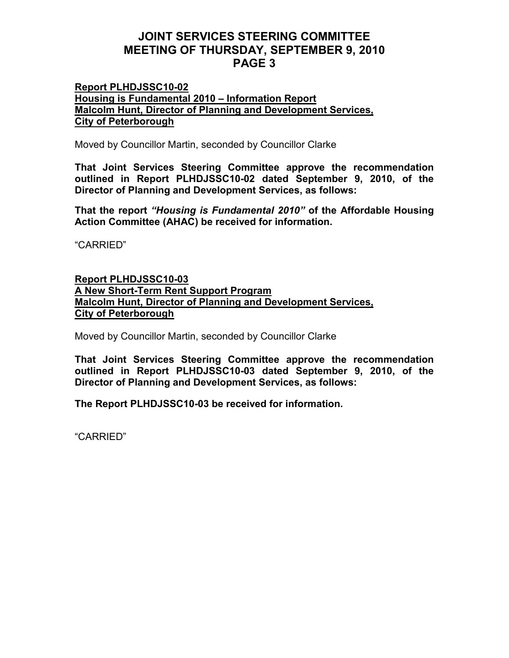### Report PLHDJSSC10-02 Housing is Fundamental 2010 – Information Report Malcolm Hunt, Director of Planning and Development Services, City of Peterborough

Moved by Councillor Martin, seconded by Councillor Clarke

That Joint Services Steering Committee approve the recommendation outlined in Report PLHDJSSC10-02 dated September 9, 2010, of the Director of Planning and Development Services, as follows:

That the report "Housing is Fundamental 2010" of the Affordable Housing Action Committee (AHAC) be received for information.

"CARRIED"

## Report PLHDJSSC10-03 A New Short-Term Rent Support Program Malcolm Hunt, Director of Planning and Development Services, City of Peterborough

Moved by Councillor Martin, seconded by Councillor Clarke

That Joint Services Steering Committee approve the recommendation outlined in Report PLHDJSSC10-03 dated September 9, 2010, of the Director of Planning and Development Services, as follows:

The Report PLHDJSSC10-03 be received for information.

"CARRIED"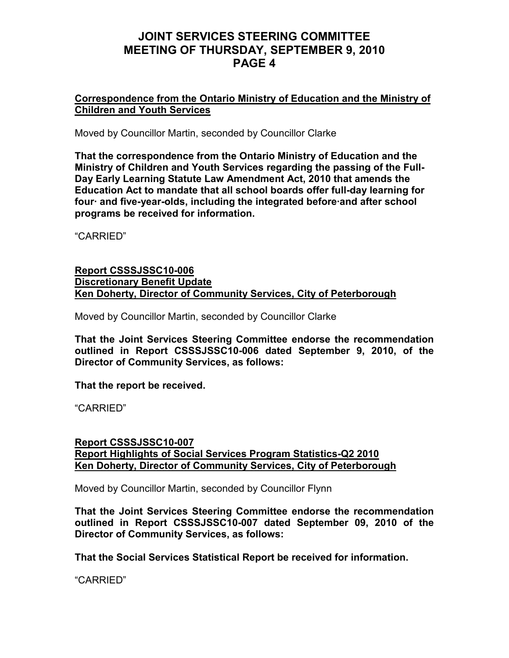### Correspondence from the Ontario Ministry of Education and the Ministry of Children and Youth Services

Moved by Councillor Martin, seconded by Councillor Clarke

That the correspondence from the Ontario Ministry of Education and the Ministry of Children and Youth Services regarding the passing of the Full-Day Early Learning Statute Law Amendment Act, 2010 that amends the Education Act to mandate that all school boards offer full-day learning for four· and five-year-olds, including the integrated before·and after school programs be received for information.

"CARRIED"

### Report CSSSJSSC10-006 Discretionary Benefit Update Ken Doherty, Director of Community Services, City of Peterborough

Moved by Councillor Martin, seconded by Councillor Clarke

That the Joint Services Steering Committee endorse the recommendation outlined in Report CSSSJSSC10-006 dated September 9, 2010, of the Director of Community Services, as follows:

That the report be received.

"CARRIED"

### Report CSSSJSSC10-007 Report Highlights of Social Services Program Statistics-Q2 2010 Ken Doherty, Director of Community Services, City of Peterborough

Moved by Councillor Martin, seconded by Councillor Flynn

That the Joint Services Steering Committee endorse the recommendation outlined in Report CSSSJSSC10-007 dated September 09, 2010 of the Director of Community Services, as follows:

That the Social Services Statistical Report be received for information.

"CARRIED"